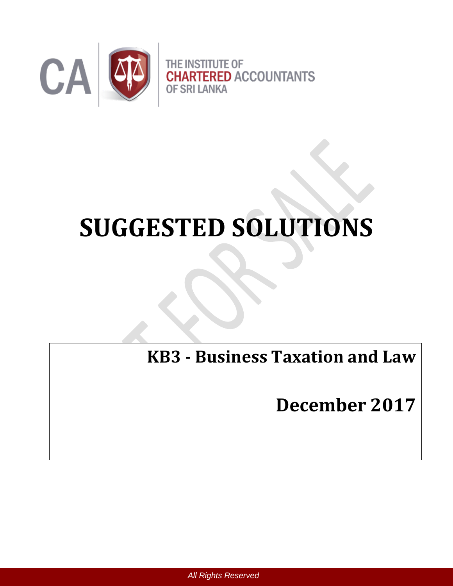

# **SUGGESTED SOLUTIONS**

**KB3 - Business Taxation and Law**

**December 2017**

 *All Rights Reserved*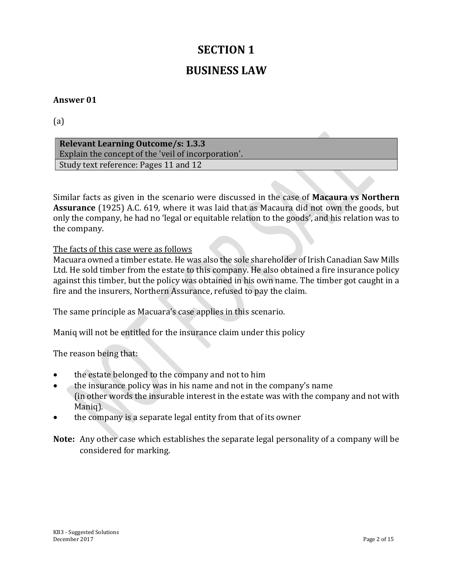# **SECTION 1 BUSINESS LAW**

#### **Answer 01**

#### (a)

**Relevant Learning Outcome/s: 1.3.3** Explain the concept of the 'veil of incorporation'. Study text reference: Pages 11 and 12

Similar facts as given in the scenario were discussed in the case of **Macaura vs Northern Assurance** (1925) A.C. 619, where it was laid that as Macaura did not own the goods, but only the company, he had no 'legal or equitable relation to the goods', and his relation was to the company.

The facts of this case were as follows

Macuara owned a timber estate. He was also the sole shareholder of Irish Canadian Saw Mills Ltd. He sold timber from the estate to this company. He also obtained a fire insurance policy against this timber, but the policy was obtained in his own name. The timber got caught in a fire and the insurers, Northern Assurance, refused to pay the claim.

The same principle as Macuara's case applies in this scenario.

Maniq will not be entitled for the insurance claim under this policy

The reason being that:

- the estate belonged to the company and not to him
- the insurance policy was in his name and not in the company's name (in other words the insurable interest in the estate was with the company and not with Maniq).
- the company is a separate legal entity from that of its owner

**Note:** Any other case which establishes the separate legal personality of a company will be considered for marking.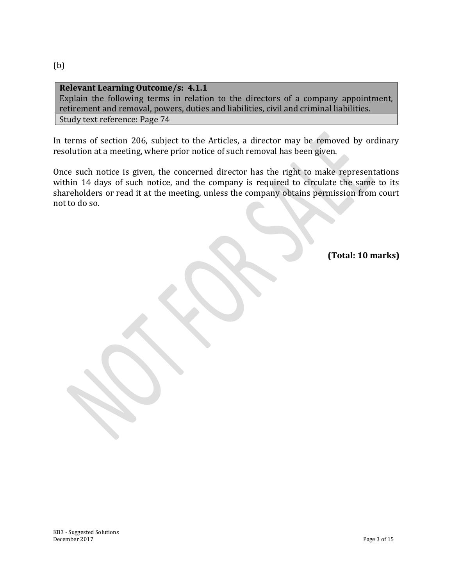(b)

#### **Relevant Learning Outcome/s: 4.1.1** Explain the following terms in relation to the directors of a company appointment, retirement and removal, powers, duties and liabilities, civil and criminal liabilities. Study text reference: Page 74

In terms of section 206, subject to the Articles, a director may be removed by ordinary resolution at a meeting, where prior notice of such removal has been given.

Once such notice is given, the concerned director has the right to make representations within 14 days of such notice, and the company is required to circulate the same to its shareholders or read it at the meeting, unless the company obtains permission from court not to do so.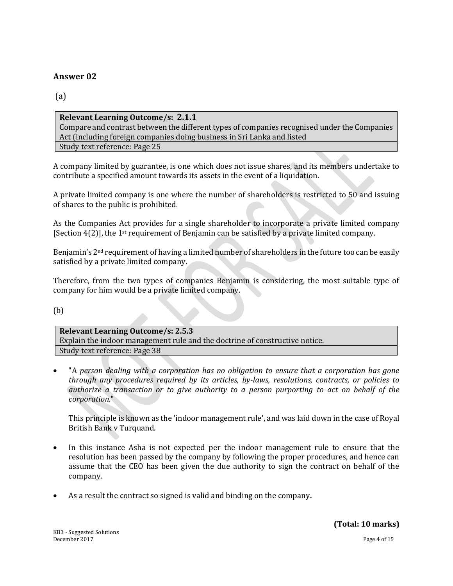(a)

#### **Relevant Learning Outcome/s: 2.1.1**

Compare and contrast between the different types of companies recognised under the Companies Act (including foreign companies doing business in Sri Lanka and listed Study text reference: Page 25

A company limited by guarantee, is one which does not issue shares, and its members undertake to contribute a specified amount towards its assets in the event of a liquidation.

A private limited company is one where the number of shareholders is restricted to 50 and issuing of shares to the public is prohibited.

As the Companies Act provides for a single shareholder to incorporate a private limited company [Section 4(2)], the 1st requirement of Benjamin can be satisfied by a private limited company.

Benjamin's 2<sup>nd</sup> requirement of having a limited number of shareholders in the future too can be easily satisfied by a private limited company.

Therefore, from the two types of companies Benjamin is considering, the most suitable type of company for him would be a private limited company.

(b)

**Relevant Learning Outcome/s: 2.5.3** Explain the indoor management rule and the doctrine of constructive notice. Study text reference: Page 38

 "A *person dealing with a corporation has no obligation to ensure that a corporation has gone through any procedures required by its articles, by-laws, resolutions, contracts, or policies to authorize a transaction or to give authority to a person purporting to act on behalf of the corporation.*"

This principle is known as the 'indoor management rule', and was laid down in the case of Royal British Bank v Turquand.

- In this instance Asha is not expected per the indoor management rule to ensure that the resolution has been passed by the company by following the proper procedures, and hence can assume that the CEO has been given the due authority to sign the contract on behalf of the company.
- As a result the contract so signed is valid and binding on the company**.**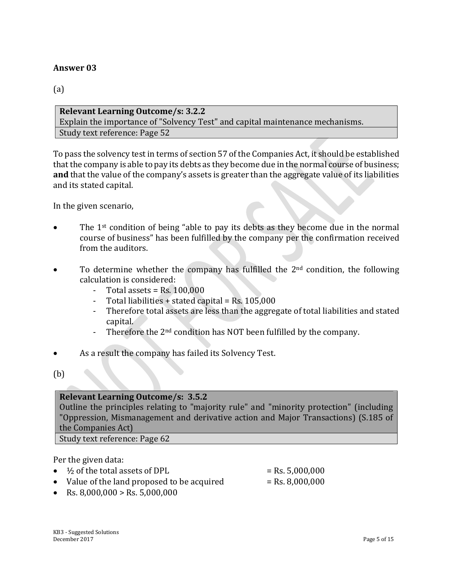(a)

**Relevant Learning Outcome/s: 3.2.2** Explain the importance of "Solvency Test" and capital maintenance mechanisms. Study text reference: Page 52

To pass the solvency test in terms of section 57 of the Companies Act, it should be established that the company is able to pay its debts as they become due in the normal course of business; **and** that the value of the company's assets is greater than the aggregate value of its liabilities and its stated capital.

In the given scenario,

- The 1st condition of being "able to pay its debts as they become due in the normal course of business" has been fulfilled by the company per the confirmation received from the auditors.
- To determine whether the company has fulfilled the  $2<sup>nd</sup>$  condition, the following calculation is considered:
	- Total assets  $=$  Rs. 100,000
	- Total liabilities + stated capital =  $Rs. 105,000$
	- Therefore total assets are less than the aggregate of total liabilities and stated capital.
	- Therefore the  $2<sup>nd</sup>$  condition has NOT been fulfilled by the company.
- As a result the company has failed its Solvency Test.
- (b)

#### **Relevant Learning Outcome/s: 3.5.2**

Outline the principles relating to "majority rule" and "minority protection" (including "Oppression, Mismanagement and derivative action and Major Transactions) (S.185 of the Companies Act)

Study text reference: Page 62

Per the given data:

- $\frac{1}{2}$  of the total assets of DPL  $=$  Rs. 5,000,000
- Value of the land proposed to be acquired  $=$  Rs. 8,000,000
- Rs. 8,000,000 > Rs. 5,000,000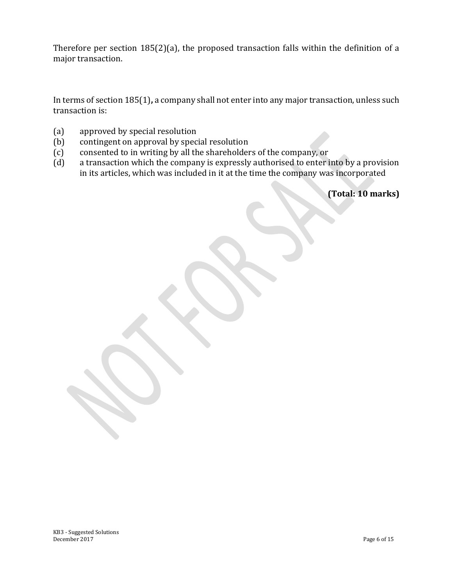Therefore per section 185(2)(a), the proposed transaction falls within the definition of a major transaction.

In terms of section 185(1)**,** a company shall not enter into any major transaction, unless such transaction is:

- (a) approved by special resolution
- (b) contingent on approval by special resolution
- (c) consented to in writing by all the shareholders of the company, or
- (d) a transaction which the company is expressly authorised to enter into by a provision in its articles, which was included in it at the time the company was incorporated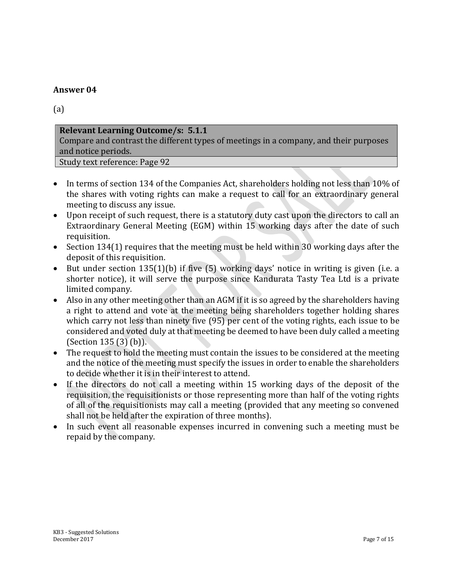(a)

#### **Relevant Learning Outcome/s: 5.1.1**

Compare and contrast the different types of meetings in a company, and their purposes and notice periods.

Study text reference: Page 92

- In terms of section 134 of the Companies Act, shareholders holding not less than 10% of the shares with voting rights can make a request to call for an extraordinary general meeting to discuss any issue.
- Upon receipt of such request, there is a statutory duty cast upon the directors to call an Extraordinary General Meeting (EGM) within 15 working days after the date of such requisition.
- Section 134(1) requires that the meeting must be held within 30 working days after the deposit of this requisition.
- But under section 135(1)(b) if five (5) working days' notice in writing is given (i.e. a shorter notice), it will serve the purpose since Kandurata Tasty Tea Ltd is a private limited company.
- Also in any other meeting other than an AGM if it is so agreed by the shareholders having a right to attend and vote at the meeting being shareholders together holding shares which carry not less than ninety five (95) per cent of the voting rights, each issue to be considered and voted duly at that meeting be deemed to have been duly called a meeting (Section 135 (3) (b)).
- The request to hold the meeting must contain the issues to be considered at the meeting and the notice of the meeting must specify the issues in order to enable the shareholders to decide whether it is in their interest to attend.
- If the directors do not call a meeting within 15 working days of the deposit of the requisition, the requisitionists or those representing more than half of the voting rights of all of the requisitionists may call a meeting (provided that any meeting so convened shall not be held after the expiration of three months).
- In such event all reasonable expenses incurred in convening such a meeting must be repaid by the company.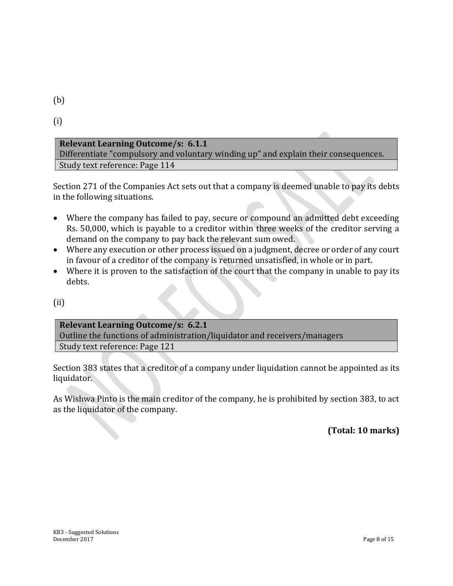(b)

(i)

#### **Relevant Learning Outcome/s: 6.1.1**

Differentiate "compulsory and voluntary winding up" and explain their consequences. Study text reference: Page 114

Section 271 of the Companies Act sets out that a company is deemed unable to pay its debts in the following situations.

- Where the company has failed to pay, secure or compound an admitted debt exceeding Rs. 50,000, which is payable to a creditor within three weeks of the creditor serving a demand on the company to pay back the relevant sum owed.
- Where any execution or other process issued on a judgment, decree or order of any court in favour of a creditor of the company is returned unsatisfied, in whole or in part.
- Where it is proven to the satisfaction of the court that the company in unable to pay its debts.
- (ii)

#### **Relevant Learning Outcome/s: 6.2.1**

Outline the functions of administration/liquidator and receivers/managers Study text reference: Page 121

Section 383 states that a creditor of a company under liquidation cannot be appointed as its liquidator.

As Wishwa Pinto is the main creditor of the company, he is prohibited by section 383, to act as the liquidator of the company.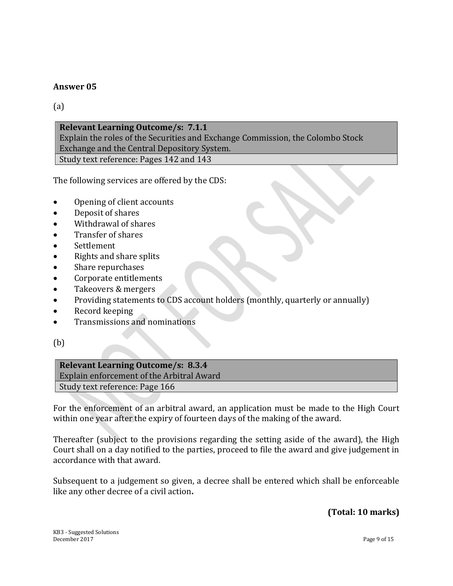(a)

#### **Relevant Learning Outcome/s: 7.1.1** Explain the roles of the Securities and Exchange Commission, the Colombo Stock Exchange and the Central Depository System. Study text reference: Pages 142 and 143

The following services are offered by the CDS:

- Opening of client accounts
- Deposit of shares
- Withdrawal of shares
- Transfer of shares
- Settlement
- Rights and share splits
- Share repurchases
- Corporate entitlements
- Takeovers & mergers
- Providing statements to CDS account holders (monthly, quarterly or annually)
- Record keeping
- Transmissions and nominations

(b)

#### **Relevant Learning Outcome/s: 8.3.4** Explain enforcement of the Arbitral Award Study text reference: Page 166

For the enforcement of an arbitral award, an application must be made to the High Court within one year after the expiry of fourteen days of the making of the award.

Thereafter (subject to the provisions regarding the setting aside of the award), the High Court shall on a day notified to the parties, proceed to file the award and give judgement in accordance with that award.

Subsequent to a judgement so given, a decree shall be entered which shall be enforceable like any other decree of a civil action**.**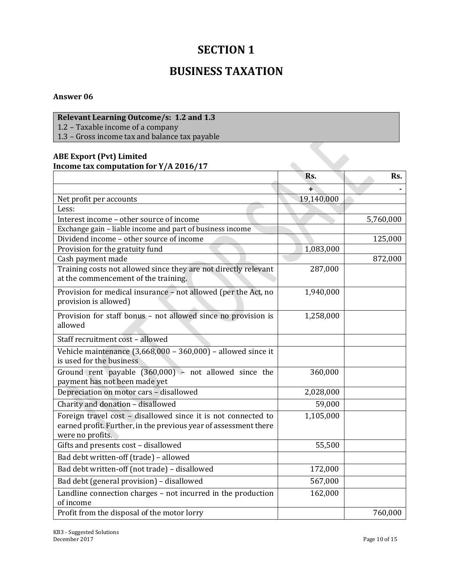## **SECTION 1**

### **BUSINESS TAXATION**

#### **Answer 06**

#### **Relevant Learning Outcome/s: 1.2 and 1.3**

1.2 – Taxable income of a company

1.3 – Gross income tax and balance tax payable

#### **ABE Export (Pvt) Limited Income tax computation for Y/A 2016/17**

| Income tax computation for Y/A 2016/17                                                                                                                |            |           |  |
|-------------------------------------------------------------------------------------------------------------------------------------------------------|------------|-----------|--|
|                                                                                                                                                       | Rs.        | Rs.       |  |
|                                                                                                                                                       | ÷          |           |  |
| Net profit per accounts                                                                                                                               | 19,140,000 |           |  |
| Less:                                                                                                                                                 |            |           |  |
| Interest income - other source of income                                                                                                              |            | 5,760,000 |  |
| Exchange gain - liable income and part of business income                                                                                             |            |           |  |
| Dividend income - other source of income                                                                                                              |            | 125,000   |  |
| Provision for the gratuity fund                                                                                                                       | 1,083,000  |           |  |
| Cash payment made                                                                                                                                     |            | 872,000   |  |
| Training costs not allowed since they are not directly relevant<br>at the commencement of the training.                                               | 287,000    |           |  |
| Provision for medical insurance - not allowed (per the Act, no<br>provision is allowed)                                                               | 1,940,000  |           |  |
| Provision for staff bonus - not allowed since no provision is<br>allowed                                                                              | 1,258,000  |           |  |
| Staff recruitment cost - allowed                                                                                                                      |            |           |  |
| Vehicle maintenance $(3,668,000 - 360,000)$ - allowed since it<br>is used for the business                                                            |            |           |  |
| Ground rent payable $(360,000)$ - not allowed since the<br>payment has not been made yet                                                              | 360,000    |           |  |
| Depreciation on motor cars - disallowed                                                                                                               | 2,028,000  |           |  |
| Charity and donation - disallowed                                                                                                                     | 59,000     |           |  |
| Foreign travel cost - disallowed since it is not connected to<br>earned profit. Further, in the previous year of assessment there<br>were no profits. | 1,105,000  |           |  |
| Gifts and presents cost - disallowed                                                                                                                  | 55,500     |           |  |
| Bad debt written-off (trade) - allowed                                                                                                                |            |           |  |
| Bad debt written-off (not trade) - disallowed                                                                                                         | 172,000    |           |  |
| Bad debt (general provision) - disallowed                                                                                                             | 567,000    |           |  |
| Landline connection charges - not incurred in the production<br>of income                                                                             | 162,000    |           |  |
| Profit from the disposal of the motor lorry                                                                                                           |            | 760,000   |  |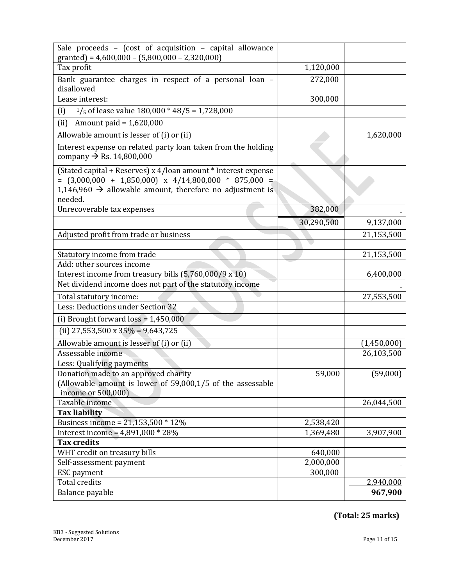| Sale proceeds - (cost of acquisition - capital allowance<br>granted) = $4,600,000 - (5,800,000 - 2,320,000)$                                                                                                |            |             |
|-------------------------------------------------------------------------------------------------------------------------------------------------------------------------------------------------------------|------------|-------------|
| Tax profit                                                                                                                                                                                                  | 1,120,000  |             |
| Bank guarantee charges in respect of a personal loan -<br>disallowed                                                                                                                                        | 272,000    |             |
| Lease interest:                                                                                                                                                                                             | 300,000    |             |
| $1/5$ of lease value 180,000 * 48/5 = 1,728,000<br>(i)                                                                                                                                                      |            |             |
| Amount paid = $1,620,000$<br>(ii)                                                                                                                                                                           |            |             |
| Allowable amount is lesser of (i) or (ii)                                                                                                                                                                   |            | 1,620,000   |
| Interest expense on related party loan taken from the holding<br>company $\rightarrow$ Rs. 14,800,000                                                                                                       |            |             |
| (Stated capital + Reserves) x 4/loan amount * Interest expense<br>$=$ (3,000,000 + 1,850,000) x 4/14,800,000 * 875,000 =<br>1,146,960 $\rightarrow$ allowable amount, therefore no adjustment is<br>needed. |            |             |
| Unrecoverable tax expenses                                                                                                                                                                                  | 382,000    |             |
|                                                                                                                                                                                                             | 30,290,500 | 9,137,000   |
| Adjusted profit from trade or business                                                                                                                                                                      |            | 21,153,500  |
|                                                                                                                                                                                                             |            |             |
| Statutory income from trade                                                                                                                                                                                 |            | 21,153,500  |
| Add: other sources income                                                                                                                                                                                   |            |             |
| Interest income from treasury bills (5,760,000/9 x 10)                                                                                                                                                      |            | 6,400,000   |
| Net dividend income does not part of the statutory income                                                                                                                                                   |            |             |
| Total statutory income:                                                                                                                                                                                     |            | 27,553,500  |
| Less: Deductions under Section 32                                                                                                                                                                           |            |             |
| (i) Brought forward loss = $1,450,000$                                                                                                                                                                      |            |             |
| (ii) 27,553,500 x 35% = 9,643,725                                                                                                                                                                           |            |             |
| Allowable amount is lesser of (i) or (ii)                                                                                                                                                                   |            | (1,450,000) |
| Assessable income                                                                                                                                                                                           |            | 26,103,500  |
| Less: Qualifying payments                                                                                                                                                                                   |            |             |
| Donation made to an approved charity<br>(Allowable amount is lower of $59,000,1/5$ of the assessable<br>income or 500,000)                                                                                  | 59,000     | (59,000)    |
| Taxable income                                                                                                                                                                                              |            | 26,044,500  |
| <b>Tax liability</b>                                                                                                                                                                                        |            |             |
| Business income = $21,153,500 * 12\%$                                                                                                                                                                       | 2,538,420  |             |
| Interest income = $4,891,000 * 28%$                                                                                                                                                                         | 1,369,480  | 3,907,900   |
| <b>Tax credits</b>                                                                                                                                                                                          |            |             |
| WHT credit on treasury bills                                                                                                                                                                                | 640,000    |             |
| Self-assessment payment                                                                                                                                                                                     | 2,000,000  |             |
| ESC payment                                                                                                                                                                                                 | 300,000    |             |
| <b>Total credits</b>                                                                                                                                                                                        |            | 2,940,000   |
| Balance payable                                                                                                                                                                                             |            | 967,900     |

**(Total: 25 marks)**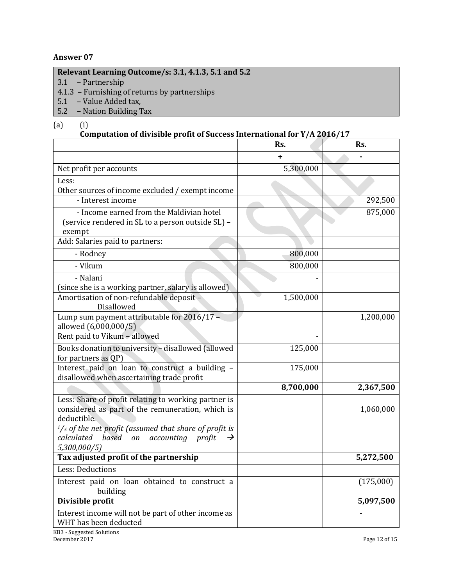#### **Relevant Learning Outcome/s: 3.1, 4.1.3, 5.1 and 5.2**

- 3.1 Partnership
- 4.1.3 Furnishing of returns by partnerships
- 5.1 Value Added tax,
- 5.2 Nation Building Tax

#### (a) (i)

#### **Computation of divisible profit of Success International for Y/A 2016/17**

|                                                                              | Rs.       | Rs.       |
|------------------------------------------------------------------------------|-----------|-----------|
|                                                                              | ٠         |           |
| Net profit per accounts                                                      | 5,300,000 |           |
| Less:                                                                        |           |           |
| Other sources of income excluded / exempt income                             |           |           |
| - Interest income                                                            |           | 292,500   |
| - Income earned from the Maldivian hotel                                     |           | 875,000   |
| (service rendered in SL to a person outside SL) -                            |           |           |
| exempt                                                                       |           |           |
| Add: Salaries paid to partners:                                              |           |           |
| - Rodney                                                                     | 800,000   |           |
| - Vikum                                                                      | 800,000   |           |
| - Nalani                                                                     |           |           |
| (since she is a working partner, salary is allowed)                          |           |           |
| Amortisation of non-refundable deposit -<br>Disallowed                       | 1,500,000 |           |
| Lump sum payment attributable for 2016/17 -<br>allowed (6,000,000/5)         |           | 1,200,000 |
| Rent paid to Vikum - allowed                                                 |           |           |
| Books donation to university - disallowed (allowed<br>for partners as QP)    | 125,000   |           |
| Interest paid on loan to construct a building -                              | 175,000   |           |
| disallowed when ascertaining trade profit                                    |           |           |
|                                                                              | 8,700,000 | 2,367,500 |
| Less: Share of profit relating to working partner is                         |           |           |
| considered as part of the remuneration, which is                             |           | 1,060,000 |
| deductible.                                                                  |           |           |
| $1/s$ of the net profit (assumed that share of profit is                     |           |           |
| based<br>calculated<br>accounting profit<br>on<br>$\rightarrow$              |           |           |
| 5,300,000/5)<br>Tax adjusted profit of the partnership                       |           | 5,272,500 |
| Less: Deductions                                                             |           |           |
|                                                                              |           |           |
| Interest paid on loan obtained to construct a<br>building                    |           | (175,000) |
| Divisible profit                                                             |           | 5,097,500 |
| Interest income will not be part of other income as<br>WHT has been deducted |           |           |
| KB3 - Suggested Solutions                                                    |           |           |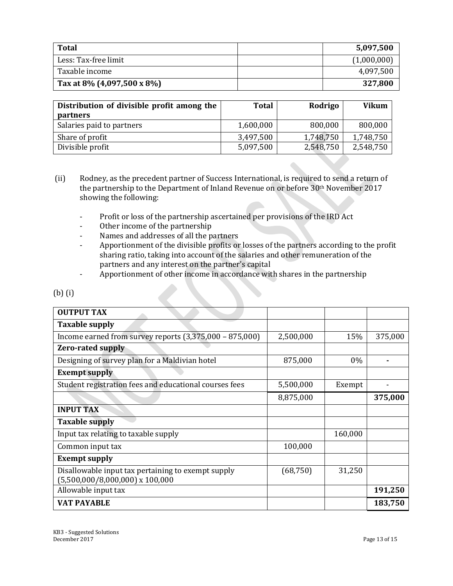| <b>Total</b>                       | 5,097,500   |
|------------------------------------|-------------|
| Less: Tax-free limit               | (1,000,000) |
| Taxable income                     | 4,097,500   |
| Tax at 8% $(4,097,500 \times 8\%)$ | 327,800     |

| Distribution of divisible profit among the<br><b>partners</b> | <b>Total</b> | Rodrigo   | <b>Vikum</b> |
|---------------------------------------------------------------|--------------|-----------|--------------|
| Salaries paid to partners                                     | 1,600,000    | 800,000   | 800,000      |
| Share of profit                                               | 3,497,500    | 1,748,750 | 1,748,750    |
| Divisible profit                                              | 5,097,500    | 2,548,750 | 2,548,750    |

- (ii) Rodney, as the precedent partner of Success International, is required to send a return of the partnership to the Department of Inland Revenue on or before 30th November 2017 showing the following:
	- Profit or loss of the partnership ascertained per provisions of the IRD Act
	- Other income of the partnership
	- Names and addresses of all the partners
	- Apportionment of the divisible profits or losses of the partners according to the profit sharing ratio, taking into account of the salaries and other remuneration of the partners and any interest on the partner's capital
	- Apportionment of other income in accordance with shares in the partnership

| <b>OUTPUT TAX</b>                                         |           |         |         |
|-----------------------------------------------------------|-----------|---------|---------|
| <b>Taxable supply</b>                                     |           |         |         |
| Income earned from survey reports $(3,375,000 - 875,000)$ | 2,500,000 | 15%     | 375,000 |
| <b>Zero-rated supply</b>                                  |           |         |         |
| Designing of survey plan for a Maldivian hotel            | 875,000   | $0\%$   |         |
| <b>Exempt supply</b>                                      |           |         |         |
| Student registration fees and educational courses fees    | 5,500,000 | Exempt  |         |
|                                                           | 8,875,000 |         | 375,000 |
| <b>INPUT TAX</b>                                          |           |         |         |
| <b>Taxable supply</b>                                     |           |         |         |
| Input tax relating to taxable supply                      |           | 160,000 |         |
| Common input tax                                          | 100,000   |         |         |
| <b>Exempt supply</b>                                      |           |         |         |
| Disallowable input tax pertaining to exempt supply        | (68, 750) | 31,250  |         |
| $(5,500,000/8,000,000)$ x 100,000                         |           |         |         |
| Allowable input tax                                       |           |         | 191,250 |
| <b>VAT PAYABLE</b>                                        |           |         | 183,750 |

(b) (i)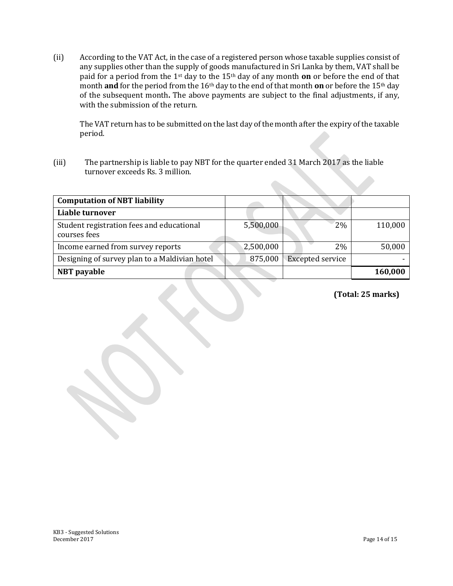(ii) According to the VAT Act, in the case of a registered person whose taxable supplies consist of any supplies other than the supply of goods manufactured in Sri Lanka by them, VAT shall be paid for a period from the 1st day to the 15th day of any month **on** or before the end of that month **and** for the period from the 16th day to the end of that month **on** or before the 15th day of the subsequent month**.** The above payments are subject to the final adjustments, if any, with the submission of the return.

The VAT return has to be submitted on the last day of the month after the expiry of the taxable period.

(iii) The partnership is liable to pay NBT for the quarter ended 31 March 2017 as the liable turnover exceeds Rs. 3 million.

| <b>Computation of NBT liability</b>                       |           |                         |         |
|-----------------------------------------------------------|-----------|-------------------------|---------|
| Liable turnover                                           |           |                         |         |
| Student registration fees and educational<br>courses fees | 5,500,000 | 2%                      | 110,000 |
| Income earned from survey reports                         | 2,500,000 | 2%                      | 50,000  |
| Designing of survey plan to a Maldivian hotel             | 875,000   | <b>Excepted service</b> |         |
| <b>NBT</b> payable                                        |           |                         | 160,000 |

**(Total: 25 marks)**